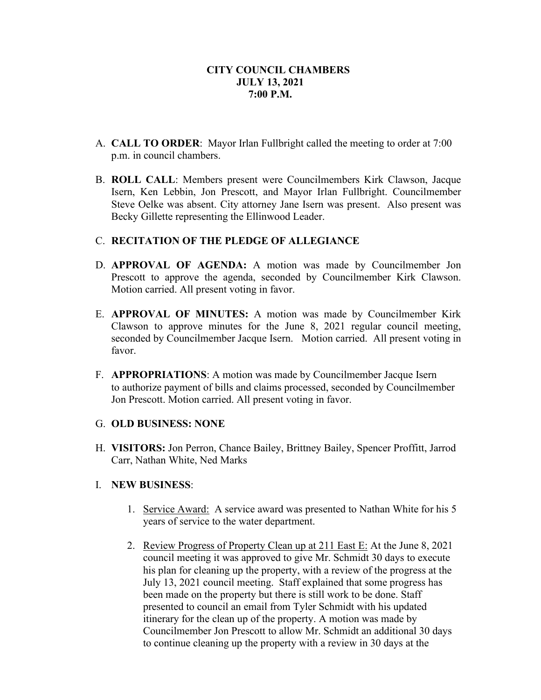- A. **CALL TO ORDER**: Mayor Irlan Fullbright called the meeting to order at 7:00 p.m. in council chambers.
- B. **ROLL CALL**: Members present were Councilmembers Kirk Clawson, Jacque Isern, Ken Lebbin, Jon Prescott, and Mayor Irlan Fullbright. Councilmember Steve Oelke was absent. City attorney Jane Isern was present. Also present was Becky Gillette representing the Ellinwood Leader.

### C. **RECITATION OF THE PLEDGE OF ALLEGIANCE**

- D. **APPROVAL OF AGENDA:** A motion was made by Councilmember Jon Prescott to approve the agenda, seconded by Councilmember Kirk Clawson. Motion carried. All present voting in favor.
- E. **APPROVAL OF MINUTES:** A motion was made by Councilmember Kirk Clawson to approve minutes for the June 8, 2021 regular council meeting, seconded by Councilmember Jacque Isern. Motion carried. All present voting in favor.
- F. **APPROPRIATIONS**: A motion was made by Councilmember Jacque Isern to authorize payment of bills and claims processed, seconded by Councilmember Jon Prescott. Motion carried. All present voting in favor.

#### G. **OLD BUSINESS: NONE**

H. **VISITORS:** Jon Perron, Chance Bailey, Brittney Bailey, Spencer Proffitt, Jarrod Carr, Nathan White, Ned Marks

### I. **NEW BUSINESS**:

- 1. Service Award: A service award was presented to Nathan White for his 5 years of service to the water department.
- 2. Review Progress of Property Clean up at 211 East E: At the June 8, 2021 council meeting it was approved to give Mr. Schmidt 30 days to execute his plan for cleaning up the property, with a review of the progress at the July 13, 2021 council meeting. Staff explained that some progress has been made on the property but there is still work to be done. Staff presented to council an email from Tyler Schmidt with his updated itinerary for the clean up of the property. A motion was made by Councilmember Jon Prescott to allow Mr. Schmidt an additional 30 days to continue cleaning up the property with a review in 30 days at the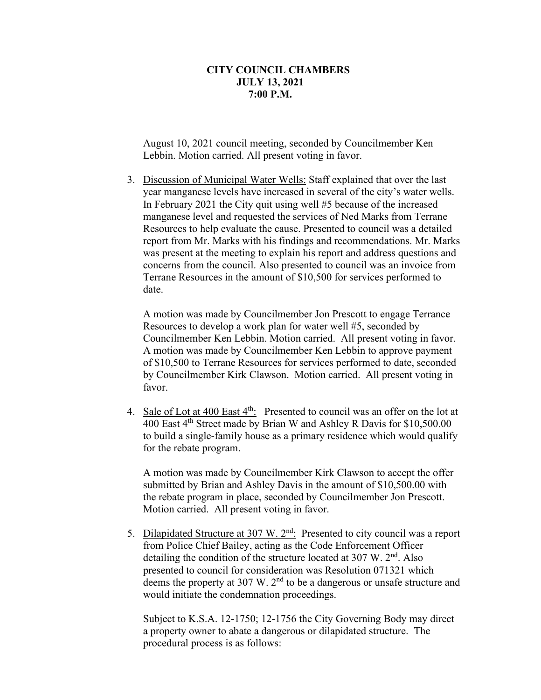August 10, 2021 council meeting, seconded by Councilmember Ken Lebbin. Motion carried. All present voting in favor.

3. Discussion of Municipal Water Wells: Staff explained that over the last year manganese levels have increased in several of the city's water wells. In February 2021 the City quit using well #5 because of the increased manganese level and requested the services of Ned Marks from Terrane Resources to help evaluate the cause. Presented to council was a detailed report from Mr. Marks with his findings and recommendations. Mr. Marks was present at the meeting to explain his report and address questions and concerns from the council. Also presented to council was an invoice from Terrane Resources in the amount of \$10,500 for services performed to date.

A motion was made by Councilmember Jon Prescott to engage Terrance Resources to develop a work plan for water well #5, seconded by Councilmember Ken Lebbin. Motion carried. All present voting in favor. A motion was made by Councilmember Ken Lebbin to approve payment of \$10,500 to Terrane Resources for services performed to date, seconded by Councilmember Kirk Clawson. Motion carried. All present voting in favor.

4. Sale of Lot at 400 East 4<sup>th</sup>: Presented to council was an offer on the lot at 400 East 4th Street made by Brian W and Ashley R Davis for \$10,500.00 to build a single-family house as a primary residence which would qualify for the rebate program.

A motion was made by Councilmember Kirk Clawson to accept the offer submitted by Brian and Ashley Davis in the amount of \$10,500.00 with the rebate program in place, seconded by Councilmember Jon Prescott. Motion carried. All present voting in favor.

5. Dilapidated Structure at 307 W. 2<sup>nd</sup>: Presented to city council was a report from Police Chief Bailey, acting as the Code Enforcement Officer detailing the condition of the structure located at  $307 \text{ W}$ .  $2^{\text{nd}}$ . Also presented to council for consideration was Resolution 071321 which deems the property at 307 W. 2<sup>nd</sup> to be a dangerous or unsafe structure and would initiate the condemnation proceedings.

Subject to K.S.A. 12-1750; 12-1756 the City Governing Body may direct a property owner to abate a dangerous or dilapidated structure. The procedural process is as follows: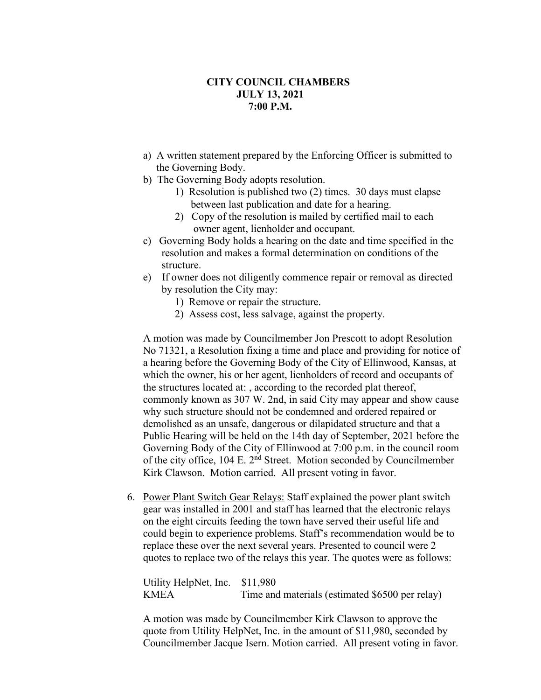- a) A written statement prepared by the Enforcing Officer is submitted to the Governing Body.
- b) The Governing Body adopts resolution.
	- 1) Resolution is published two (2) times. 30 days must elapse between last publication and date for a hearing.
	- 2) Copy of the resolution is mailed by certified mail to each owner agent, lienholder and occupant.
- c) Governing Body holds a hearing on the date and time specified in the resolution and makes a formal determination on conditions of the structure.
- e) If owner does not diligently commence repair or removal as directed by resolution the City may:
	- 1) Remove or repair the structure.
	- 2) Assess cost, less salvage, against the property.

A motion was made by Councilmember Jon Prescott to adopt Resolution No 71321, a Resolution fixing a time and place and providing for notice of a hearing before the Governing Body of the City of Ellinwood, Kansas, at which the owner, his or her agent, lienholders of record and occupants of the structures located at: , according to the recorded plat thereof, commonly known as 307 W. 2nd, in said City may appear and show cause why such structure should not be condemned and ordered repaired or demolished as an unsafe, dangerous or dilapidated structure and that a Public Hearing will be held on the 14th day of September, 2021 before the Governing Body of the City of Ellinwood at 7:00 p.m. in the council room of the city office, 104 E. 2nd Street. Motion seconded by Councilmember Kirk Clawson. Motion carried. All present voting in favor.

6. Power Plant Switch Gear Relays: Staff explained the power plant switch gear was installed in 2001 and staff has learned that the electronic relays on the eight circuits feeding the town have served their useful life and could begin to experience problems. Staff's recommendation would be to replace these over the next several years. Presented to council were 2 quotes to replace two of the relays this year. The quotes were as follows:

Utility HelpNet, Inc. \$11,980 KMEA Time and materials (estimated \$6500 per relay)

A motion was made by Councilmember Kirk Clawson to approve the quote from Utility HelpNet, Inc. in the amount of \$11,980, seconded by Councilmember Jacque Isern. Motion carried. All present voting in favor.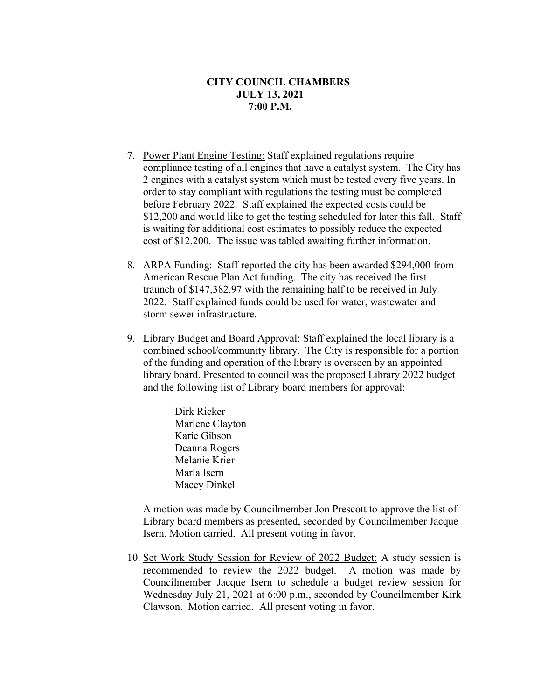- 7. Power Plant Engine Testing: Staff explained regulations require compliance testing of all engines that have a catalyst system. The City has 2 engines with a catalyst system which must be tested every five years. In order to stay compliant with regulations the testing must be completed before February 2022. Staff explained the expected costs could be \$12,200 and would like to get the testing scheduled for later this fall. Staff is waiting for additional cost estimates to possibly reduce the expected cost of \$12,200. The issue was tabled awaiting further information.
- 8. ARPA Funding: Staff reported the city has been awarded \$294,000 from American Rescue Plan Act funding. The city has received the first traunch of \$147,382.97 with the remaining half to be received in July 2022. Staff explained funds could be used for water, wastewater and storm sewer infrastructure.
- 9. Library Budget and Board Approval: Staff explained the local library is a combined school/community library. The City is responsible for a portion of the funding and operation of the library is overseen by an appointed library board. Presented to council was the proposed Library 2022 budget and the following list of Library board members for approval:

Dirk Ricker Marlene Clayton Karie Gibson Deanna Rogers Melanie Krier Marla Isern Macey Dinkel

A motion was made by Councilmember Jon Prescott to approve the list of Library board members as presented, seconded by Councilmember Jacque Isern. Motion carried. All present voting in favor.

10. Set Work Study Session for Review of 2022 Budget: A study session is recommended to review the 2022 budget. A motion was made by Councilmember Jacque Isern to schedule a budget review session for Wednesday July 21, 2021 at 6:00 p.m., seconded by Councilmember Kirk Clawson. Motion carried. All present voting in favor.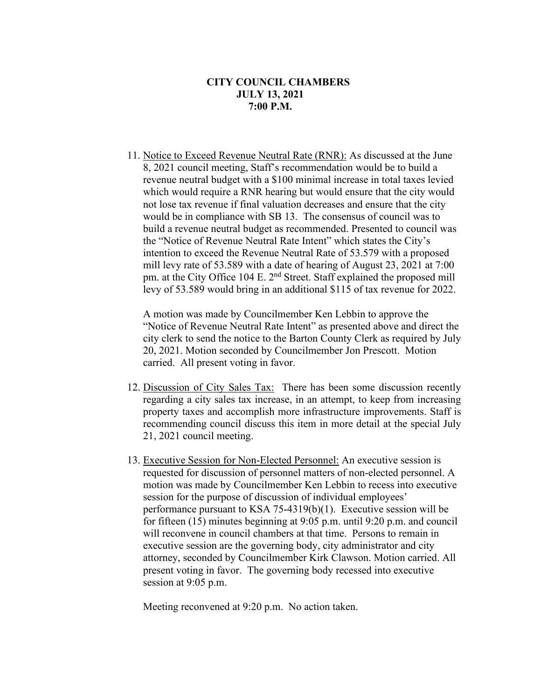11. Notice to Exceed Revenue Neutral Rate (RNR): As discussed at the June 8, 2021 council meeting, Staff's recommendation would be to build a revenue neutral budget with a \$100 minimal increase in total taxes levied which would require a RNR hearing but would ensure that the city would not lose tax revenue if final valuation decreases and ensure that the city would be in compliance with SB 13. The consensus of council was to build a revenue neutral budget as recommended. Presented to council was the "Notice of Revenue Neutral Rate Intent" which states the City's intention to exceed the Revenue Neutral Rate of 53.579 with a proposed mill levy rate of 53.589 with a date of hearing of August 23, 2021 at 7:00 pm. at the City Office 104 E. 2<sup>nd</sup> Street. Staff explained the proposed mill levy of 53.589 would bring in an additional \$115 of tax revenue for 2022.

A motion was made by Councilmember Ken Lebbin to approve the "Notice of Revenue Neutral Rate Intent" as presented above and direct the city clerk to send the notice to the Barton County Clerk as required by July 20, 2021. Motion seconded by Councilmember Jon Prescott. Motion carried. All present voting in favor.

- 12. Discussion of City Sales Tax: There has been some discussion recently regarding a city sales tax increase, in an attempt, to keep from increasing property taxes and accomplish more infrastructure improvements. Staff is recommending council discuss this item in more detail at the special July 21, 2021 council meeting.
- 13. Executive Session for Non-Elected Personnel: An executive session is requested for discussion of personnel matters of non-elected personnel. A motion was made by Councilmember Ken Lebbin to recess into executive session for the purpose of discussion of individual employees' performance pursuant to KSA 75-4319(b)(1). Executive session will be for fifteen (15) minutes beginning at 9:05 p.m. until 9:20 p.m. and council will reconvene in council chambers at that time. Persons to remain in executive session are the governing body, city administrator and city attorney, seconded by Councilmember Kirk Clawson. Motion carried. All present voting in favor. The governing body recessed into executive session at 9:05 p.m.

Meeting reconvened at 9:20 p.m. No action taken.